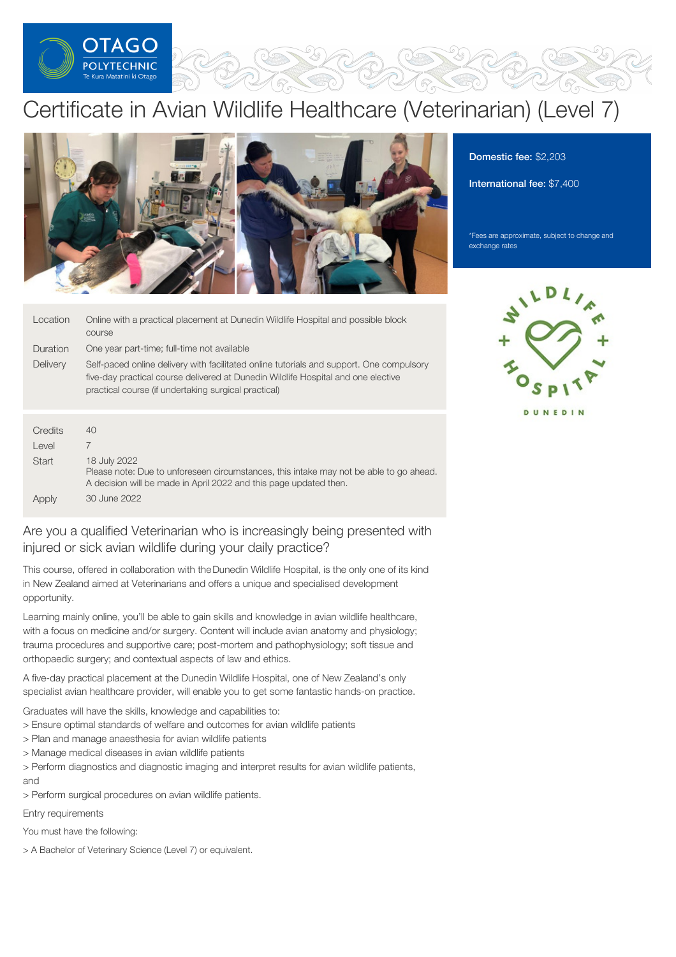

# Certificate in Avian Wildlife Healthcare (Veterinarian) (Level 7)



| Location | Online with a practical placement at Dunedin Wildlife Hospital and possible block<br>course                                                                                                                                           |
|----------|---------------------------------------------------------------------------------------------------------------------------------------------------------------------------------------------------------------------------------------|
| Duration | One year part-time; full-time not available                                                                                                                                                                                           |
| Delivery | Self-paced online delivery with facilitated online tutorials and support. One compulsory<br>five-day practical course delivered at Dunedin Wildlife Hospital and one elective<br>practical course (if undertaking surgical practical) |
|          |                                                                                                                                                                                                                                       |

| Credits      | 40                                                                                                                                                                          |
|--------------|-----------------------------------------------------------------------------------------------------------------------------------------------------------------------------|
| Level        |                                                                                                                                                                             |
| <b>Start</b> | 18 July 2022<br>Please note: Due to unforeseen circumstances, this intake may not be able to go ahead.<br>A decision will be made in April 2022 and this page updated then. |
| Apply        | 30 June 2022                                                                                                                                                                |

# Are you a qualified Veterinarian who is increasingly being presented with injured or sick avian wildlife during your daily practice?

This course, offered in collaboration with theDunedin Wildlife Hospital, is the only one of its kind in New Zealand aimed at Veterinarians and offers a unique and specialised development opportunity.

Learning mainly online, you'll be able to gain skills and knowledge in avian wildlife healthcare, with a focus on medicine and/or surgery. Content will include avian anatomy and physiology; trauma procedures and supportive care; post-mortem and pathophysiology; soft tissue and orthopaedic surgery; and contextual aspects of law and ethics.

A five-day practical placement at the Dunedin Wildlife Hospital, one of New Zealand's only specialist avian healthcare provider, will enable you to get some fantastic hands-on practice.

Graduates will have the skills, knowledge and capabilities to:

- > Ensure optimal standards of welfare and outcomes for avian wildlife patients
- > Plan and manage anaesthesia for avian wildlife patients
- > Manage medical diseases in avian wildlife patients

> Perform diagnostics and diagnostic imaging and interpret results for avian wildlife patients, and

> Perform surgical procedures on avian wildlife patients.

Entry requirements

You must have the following:

> A Bachelor of Veterinary Science (Level 7) or equivalent.

Domestic fee: \$2,203

International fee: \$7,400

\*Fees are approximate, subject to change and exchange rates



DUNEDIN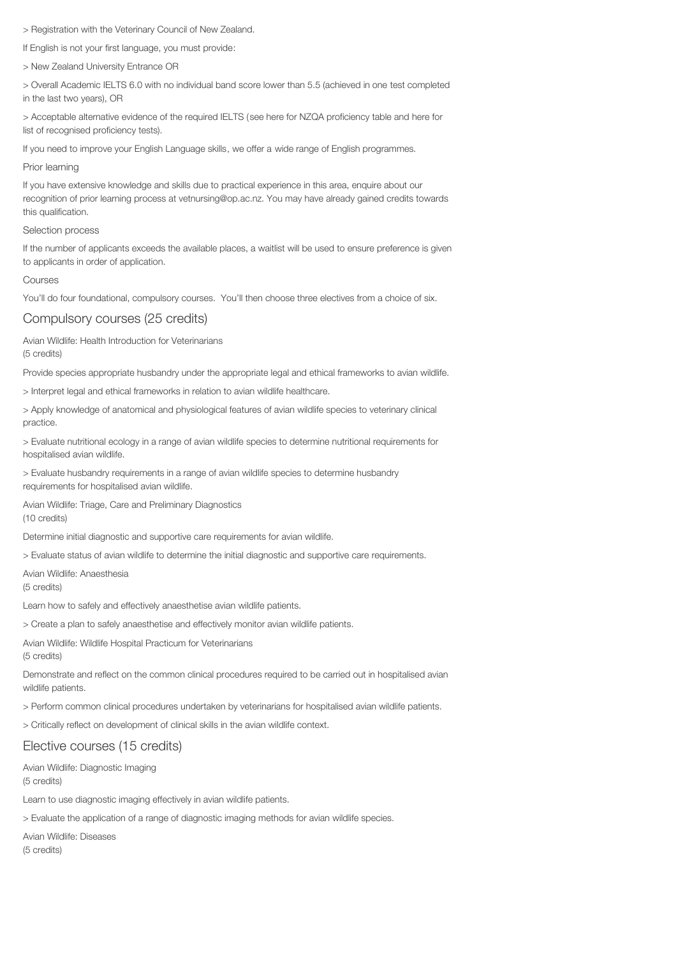> Registration with the Veterinary Council of New Zealand.

If English is not your first language, you must provide:

> New Zealand University Entrance OR

> Overall Academic IELTS 6.0 with no individual band score lower than 5.5 (achieved in one test completed in the last two years), OR

> Acceptable alternative evidence of the required IELTS (see here for NZQA proficiency table and here for list of recognised proficiency tests).

If you need to improve your English Language skills, we offer a wide range of English programmes.

## Prior learning

If you have extensive knowledge and skills due to practical experience in this area, enquire about our recognition of prior learning process at vetnursing@op.ac.nz. You may have already gained credits towards this qualification.

## Selection process

If the number of applicants exceeds the available places, a waitlist will be used to ensure preference is given to applicants in order of application.

## Courses

You'll do four foundational, compulsory courses. You'll then choose three electives from a choice of six.

## Compulsory courses (25 credits)

Avian Wildlife: Health Introduction for Veterinarians (5 credits)

Provide species appropriate husbandry under the appropriate legal and ethical frameworks to avian wildlife.

> Interpret legal and ethical frameworks in relation to avian wildlife healthcare.

> Apply knowledge of anatomical and physiological features of avian wildlife species to veterinary clinical practice.

> Evaluate nutritional ecology in a range of avian wildlife species to determine nutritional requirements for hospitalised avian wildlife.

> Evaluate husbandry requirements in a range of avian wildlife species to determine husbandry requirements for hospitalised avian wildlife.

Avian Wildlife: Triage, Care and Preliminary Diagnostics (10 credits)

Determine initial diagnostic and supportive care requirements for avian wildlife.

> Evaluate status of avian wildlife to determine the initial diagnostic and supportive care requirements.

Avian Wildlife: Anaesthesia (5 credits)

Learn how to safely and effectively anaesthetise avian wildlife patients.

> Create a plan to safely anaesthetise and effectively monitor avian wildlife patients.

Avian Wildlife: Wildlife Hospital Practicum for Veterinarians (5 credits)

Demonstrate and reflect on the common clinical procedures required to be carried out in hospitalised avian wildlife patients.

> Perform common clinical procedures undertaken by veterinarians for hospitalised avian wildlife patients.

> Critically reflect on development of clinical skills in the avian wildlife context.

## Elective courses (15 credits)

Avian Wildlife: Diagnostic Imaging (5 credits)

Learn to use diagnostic imaging effectively in avian wildlife patients.

> Evaluate the application of a range of diagnostic imaging methods for avian wildlife species.

Avian Wildlife: Diseases (5 credits)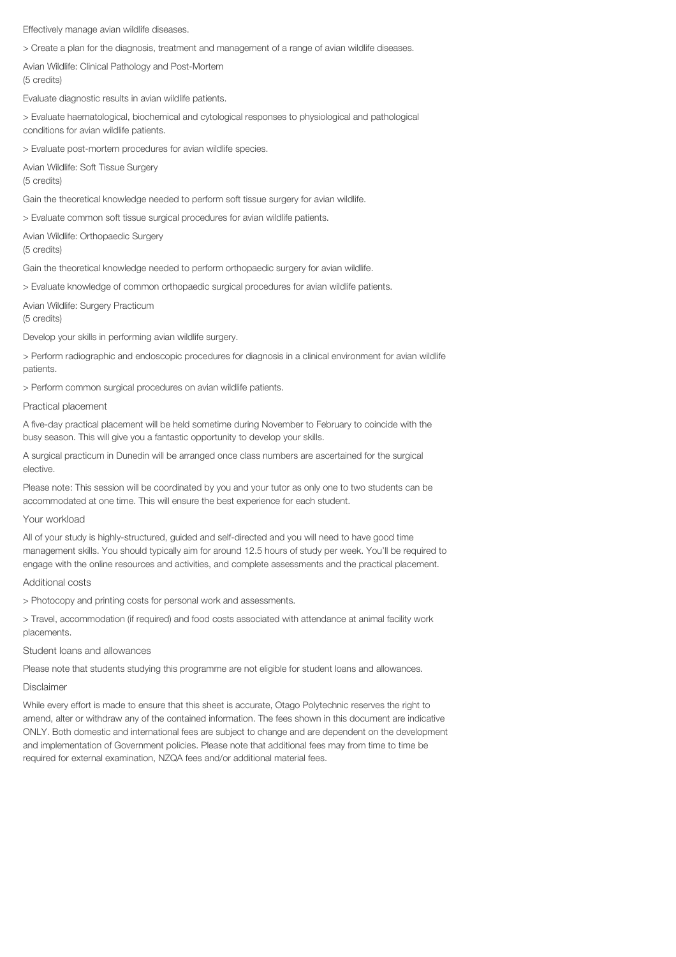Effectively manage avian wildlife diseases.

> Create a plan for the diagnosis, treatment and management of a range of avian wildlife diseases.

Avian Wildlife: Clinical Pathology and Post-Mortem (5 credits)

Evaluate diagnostic results in avian wildlife patients.

> Evaluate haematological, biochemical and cytological responses to physiological and pathological conditions for avian wildlife patients.

> Evaluate post-mortem procedures for avian wildlife species.

Avian Wildlife: Soft Tissue Surgery (5 credits)

Gain the theoretical knowledge needed to perform soft tissue surgery for avian wildlife.

> Evaluate common soft tissue surgical procedures for avian wildlife patients.

Avian Wildlife: Orthopaedic Surgery (5 credits)

Gain the theoretical knowledge needed to perform orthopaedic surgery for avian wildlife.

> Evaluate knowledge of common orthopaedic surgical procedures for avian wildlife patients.

Avian Wildlife: Surgery Practicum (5 credits)

Develop your skills in performing avian wildlife surgery.

> Perform radiographic and endoscopic procedures for diagnosis in a clinical environment for avian wildlife patients.

> Perform common surgical procedures on avian wildlife patients.

#### Practical placement

A five-day practical placement will be held sometime during November to February to coincide with the busy season. This will give you a fantastic opportunity to develop your skills.

A surgical practicum in Dunedin will be arranged once class numbers are ascertained for the surgical elective.

Please note: This session will be coordinated by you and your tutor as only one to two students can be accommodated at one time. This will ensure the best experience for each student.

## Your workload

All of your study is highly-structured, guided and self-directed and you will need to have good time management skills. You should typically aim for around 12.5 hours of study per week. You'll be required to engage with the online resources and activities, and complete assessments and the practical placement.

#### Additional costs

> Photocopy and printing costs for personal work and assessments.

> Travel, accommodation (if required) and food costs associated with attendance at animal facility work placements.

## Student loans and allowances

Please note that students studying this programme are not eligible for student loans and allowances.

## Disclaimer

While every effort is made to ensure that this sheet is accurate, Otago Polytechnic reserves the right to amend, alter or withdraw any of the contained information. The fees shown in this document are indicative ONLY. Both domestic and international fees are subject to change and are dependent on the development and implementation of Government policies. Please note that additional fees may from time to time be required for external examination, NZQA fees and/or additional material fees.